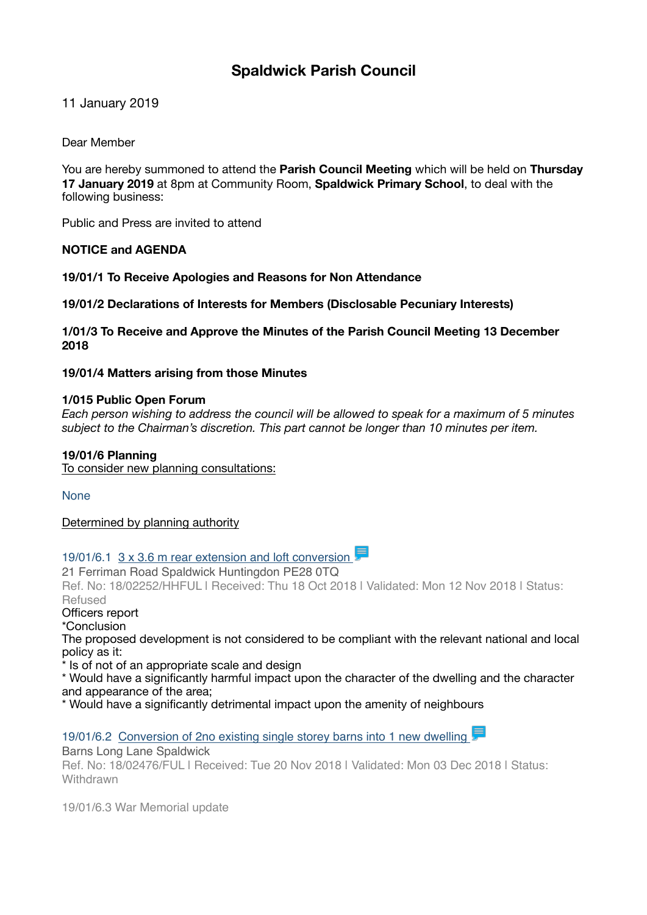# **Spaldwick Parish Council**

11 January 2019

Dear Member

You are hereby summoned to attend the **Parish Council Meeting** which will be held on **Thursday 17 January 2019** at 8pm at Community Room, **Spaldwick Primary School**, to deal with the following business:

Public and Press are invited to attend

# **NOTICE and AGENDA**

**19/01/1 To Receive Apologies and Reasons for Non Attendance** 

**19/01/2 Declarations of Interests for Members (Disclosable Pecuniary Interests)** 

**1/01/3 To Receive and Approve the Minutes of the Parish Council Meeting 13 December 2018** 

**19/01/4 Matters arising from those Minutes** 

## **1/015 Public Open Forum**

*Each person wishing to address the council will be allowed to speak for a maximum of 5 minutes subject to the Chairman's discretion. This part cannot be longer than 10 minutes per item.*

# **19/01/6 Planning**

To consider new planning consultations:

None

Determined by planning authority

19/01/6.1  $3 \times 3.6$  m rear extension and loft conversion

21 Ferriman Road Spaldwick Huntingdon PE28 0TQ

Ref. No: 18/02252/HHFUL | Received: Thu 18 Oct 2018 | Validated: Mon 12 Nov 2018 | Status: Refused

Officers report

\*Conclusion

The proposed development is not considered to be compliant with the relevant national and local policy as it:

\* Is of not of an appropriate scale and design

\* Would have a significantly harmful impact upon the character of the dwelling and the character and appearance of the area;

\* Would have a significantly detrimental impact upon the amenity of neighbours

19/01/6.2 Conversion of 2no existing single storey barns into 1 new dwelling

Barns Long Lane Spaldwick Ref. No: 18/02476/FUL | Received: Tue 20 Nov 2018 | Validated: Mon 03 Dec 2018 | Status: **Withdrawn** 

19/01/6.3 War Memorial update